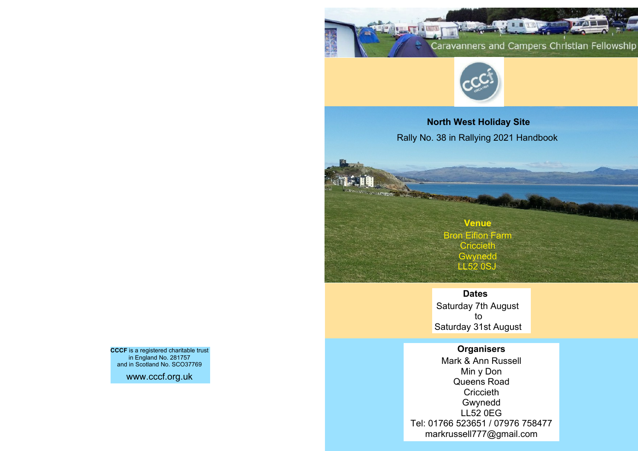**The Contract of Lands** Caravanners and Campers Christian Fellowship



**North West Holiday Site** Rally No. 38 in Rallying 2021 Handbook

> **Venue** Bron Eifion Farm **Criccieth Gwynedd LL52 0SJ**

**Alexandria** 

**Dates** Saturday 7th August

to Saturday 31st August

**Organisers**

Mark & Ann Russell Min y Don Queens Road **Criccieth** Gwynedd LL52 0EG Tel: 01766 523651 / 07976 758477 markrussell777@gmail.com

**CCCF** is a registered charitable trust in England No. 281757 and in Scotland No. SCO37769

www.cccf.org.uk